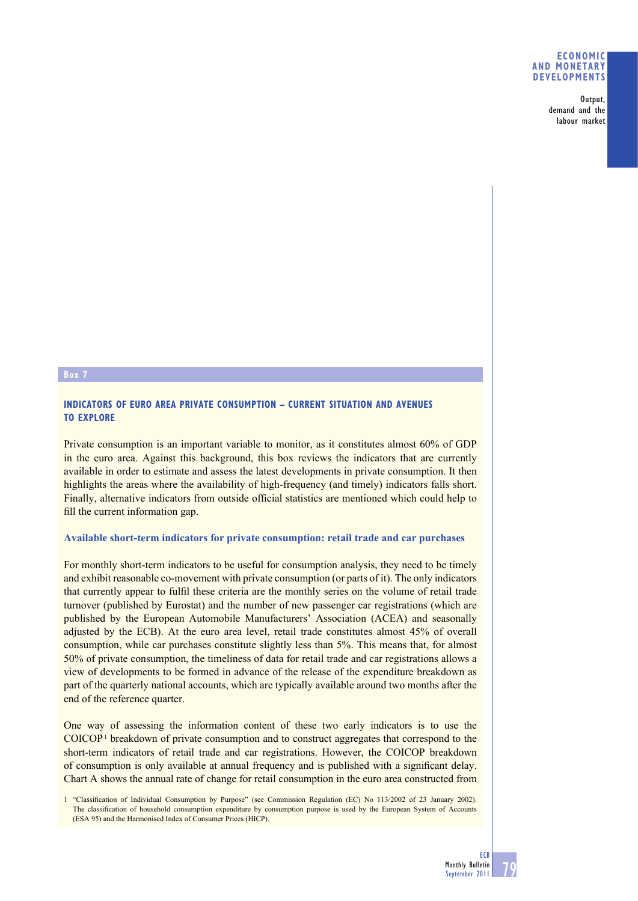#### **ECONOMIC AND MONETARY DEVELOPMENTS**

**Output, demand and the labour market**

#### **Box 7**

# **INDICATORS OF EURO AREA PRIVATE CONSUMPTION – CURRENT SITUATION AND AVENUES TO EXPLORE**

Private consumption is an important variable to monitor, as it constitutes almost 60% of GDP in the euro area. Against this background, this box reviews the indicators that are currently available in order to estimate and assess the latest developments in private consumption. It then highlights the areas where the availability of high-frequency (and timely) indicators falls short. Finally, alternative indicators from outside official statistics are mentioned which could help to fill the current information gap.

## **Available short-term indicators for private consumption: retail trade and car purchases**

For monthly short-term indicators to be useful for consumption analysis, they need to be timely and exhibit reasonable co-movement with private consumption (or parts of it). The only indicators that currently appear to fulfil these criteria are the monthly series on the volume of retail trade turnover (published by Eurostat) and the number of new passenger car registrations (which are published by the European Automobile Manufacturers' Association (ACEA) and seasonally adjusted by the ECB). At the euro area level, retail trade constitutes almost 45% of overall consumption, while car purchases constitute slightly less than 5%. This means that, for almost 50% of private consumption, the timeliness of data for retail trade and car registrations allows a view of developments to be formed in advance of the release of the expenditure breakdown as part of the quarterly national accounts, which are typically available around two months after the end of the reference quarter.

One way of assessing the information content of these two early indicators is to use the COICOP<sup>1</sup> breakdown of private consumption and to construct aggregates that correspond to the short-term indicators of retail trade and car registrations. However, the COICOP breakdown of consumption is only available at annual frequency and is published with a significant delay. Chart A shows the annual rate of change for retail consumption in the euro area constructed from

1 "Classification of Individual Consumption by Purpose" (see Commission Regulation (EC) No 113/2002 of 23 January 2002). The classification of household consumption expenditure by consumption purpose is used by the European System of Accounts (ESA 95) and the Harmonised Index of Consumer Prices (HICP).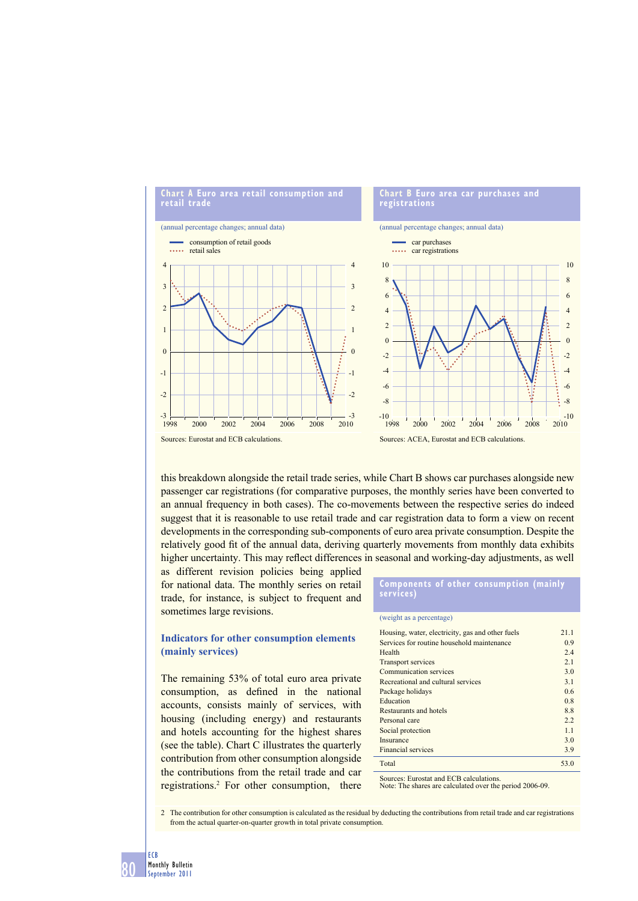

this breakdown alongside the retail trade series, while Chart B shows car purchases alongside new passenger car registrations (for comparative purposes, the monthly series have been converted to an annual frequency in both cases). The co-movements between the respective series do indeed suggest that it is reasonable to use retail trade and car registration data to form a view on recent developments in the corresponding sub-components of euro area private consumption. Despite the relatively good fit of the annual data, deriving quarterly movements from monthly data exhibits higher uncertainty. This may reflect differences in seasonal and working-day adjustments, as well

as different revision policies being applied for national data. The monthly series on retail trade, for instance, is subject to frequent and sometimes large revisions.

## **Indicators for other consumption elements (mainly services)**

The remaining 53% of total euro area private consumption, as defined in the national accounts, consists mainly of services, with housing (including energy) and restaurants and hotels accounting for the highest shares (see the table). Chart C illustrates the quarterly contribution from other consumption alongside the contributions from the retail trade and car registrations.2 For other consumption, there

#### **Components of other consumption (mainly services)**

(weight as a percentage)

| Housing, water, electricity, gas and other fuels | 21.1 |
|--------------------------------------------------|------|
| Services for routine household maintenance       | 0.9  |
| Health                                           | 2.4  |
| <b>Transport services</b>                        | 2.1  |
| Communication services                           | 3.0  |
| Recreational and cultural services               | 3.1  |
| Package holidays                                 | 0.6  |
| Education                                        | 0.8  |
| Restaurants and hotels                           | 88   |
| Personal care                                    | 2.2  |
| Social protection                                | 1.1  |
| Insurance                                        | 3.0  |
| <b>Financial services</b>                        | 3.9  |
| Total                                            | 53.0 |

Sources: Eurostat and ECB calculations.

Note: The shares are calculated over the period 2006-09.

2 The contribution for other consumption is calculated as the residual by deducting the contributions from retail trade and car registrations from the actual quarter-on-quarter growth in total private consumption.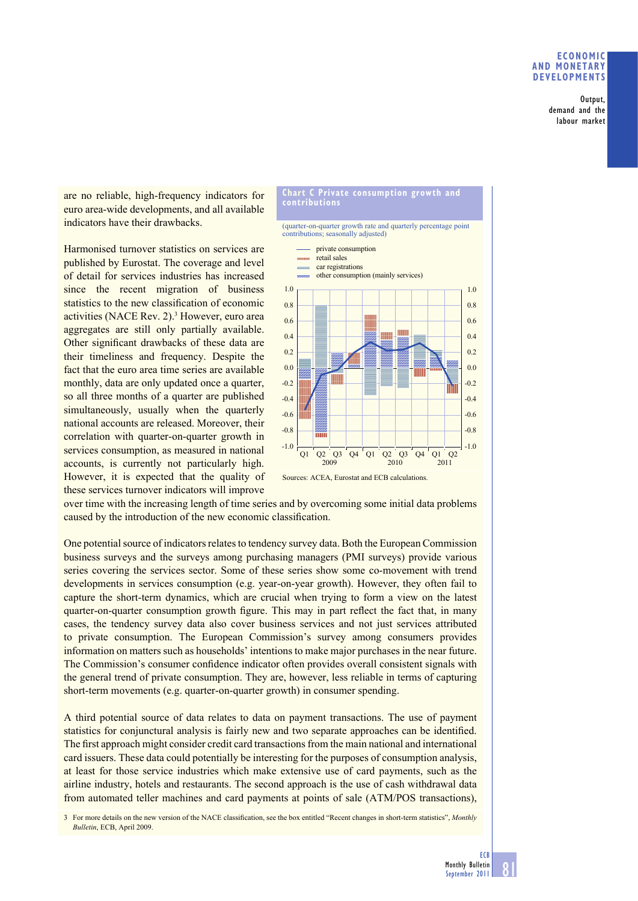## **ECONOMIC AND MONETARY DEVELOPMENTS**

**Output, demand and the labour market**

are no reliable, high-frequency indicators for euro area-wide developments, and all available indicators have their drawbacks.

Harmonised turnover statistics on services are published by Eurostat. The coverage and level of detail for services industries has increased since the recent migration of business statistics to the new classification of economic activities (NACE Rev. 2).<sup>3</sup> However, euro area aggregates are still only partially available. Other significant drawbacks of these data are their timeliness and frequency. Despite the fact that the euro area time series are available monthly, data are only updated once a quarter, so all three months of a quarter are published simultaneously, usually when the quarterly national accounts are released. Moreover, their correlation with quarter-on-quarter growth in services consumption, as measured in national accounts, is currently not particularly high. However, it is expected that the quality of these services turnover indicators will improve



over time with the increasing length of time series and by overcoming some initial data problems caused by the introduction of the new economic classification.

One potential source of indicators relates to tendency survey data. Both the European Commission business surveys and the surveys among purchasing managers (PMI surveys) provide various series covering the services sector. Some of these series show some co-movement with trend developments in services consumption (e.g. year-on-year growth). However, they often fail to capture the short-term dynamics, which are crucial when trying to form a view on the latest quarter-on-quarter consumption growth figure. This may in part reflect the fact that, in many cases, the tendency survey data also cover business services and not just services attributed to private consumption. The European Commission's survey among consumers provides information on matters such as households' intentions to make major purchases in the near future. The Commission's consumer confidence indicator often provides overall consistent signals with the general trend of private consumption. They are, however, less reliable in terms of capturing short-term movements (e.g. quarter-on-quarter growth) in consumer spending.

A third potential source of data relates to data on payment transactions. The use of payment statistics for conjunctural analysis is fairly new and two separate approaches can be identified. The first approach might consider credit card transactions from the main national and international card issuers. These data could potentially be interesting for the purposes of consumption analysis, at least for those service industries which make extensive use of card payments, such as the airline industry, hotels and restaurants. The second approach is the use of cash withdrawal data from automated teller machines and card payments at points of sale (ATM/POS transactions),

3 For more details on the new version of the NACE classification, see the box entitled "Recent changes in short-term statistics", *Monthly Bulletin*, ECB, April 2009.